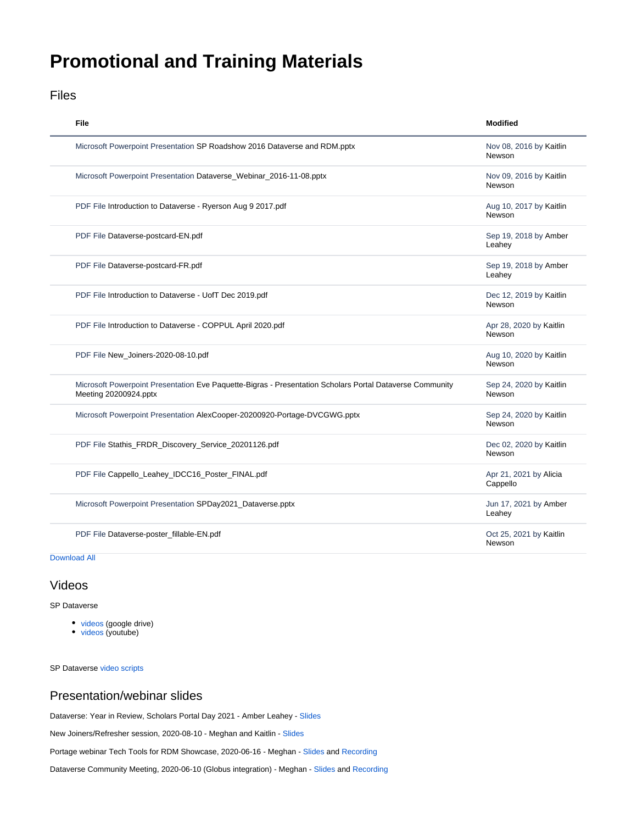# <span id="page-0-0"></span>**Promotional and Training Materials**

### Files

| File                                                                                                                              | <b>Modified</b>                    |
|-----------------------------------------------------------------------------------------------------------------------------------|------------------------------------|
| Microsoft Powerpoint Presentation SP Roadshow 2016 Dataverse and RDM.pptx                                                         | Nov 08, 2016 by Kaitlin<br>Newson  |
| Microsoft Powerpoint Presentation Dataverse_Webinar_2016-11-08.pptx                                                               | Nov 09, 2016 by Kaitlin<br>Newson  |
| PDF File Introduction to Dataverse - Ryerson Aug 9 2017.pdf                                                                       | Aug 10, 2017 by Kaitlin<br>Newson  |
| PDF File Dataverse-postcard-EN.pdf                                                                                                | Sep 19, 2018 by Amber<br>Leahey    |
| PDF File Dataverse-postcard-FR.pdf                                                                                                | Sep 19, 2018 by Amber<br>Leahey    |
| PDF File Introduction to Dataverse - UofT Dec 2019.pdf                                                                            | Dec 12, 2019 by Kaitlin<br>Newson  |
| PDF File Introduction to Dataverse - COPPUL April 2020.pdf                                                                        | Apr 28, 2020 by Kaitlin<br>Newson  |
| PDF File New_Joiners-2020-08-10.pdf                                                                                               | Aug 10, 2020 by Kaitlin<br>Newson  |
| Microsoft Powerpoint Presentation Eve Paquette-Bigras - Presentation Scholars Portal Dataverse Community<br>Meeting 20200924.pptx | Sep 24, 2020 by Kaitlin<br>Newson  |
| Microsoft Powerpoint Presentation AlexCooper-20200920-Portage-DVCGWG.pptx                                                         | Sep 24, 2020 by Kaitlin<br>Newson  |
| PDF File Stathis_FRDR_Discovery_Service_20201126.pdf                                                                              | Dec 02, 2020 by Kaitlin<br>Newson  |
| PDF File Cappello_Leahey_IDCC16_Poster_FINAL.pdf                                                                                  | Apr 21, 2021 by Alicia<br>Cappello |
| Microsoft Powerpoint Presentation SPDay2021_Dataverse.pptx                                                                        | Jun 17, 2021 by Amber<br>Leahey    |
| PDF File Dataverse-poster_fillable-EN.pdf                                                                                         | Oct 25, 2021 by Kaitlin<br>Newson  |

#### [Download All](https://spotdocs.scholarsportal.info/pages/downloadallattachments.action?pageId=173736954)

#### Videos

SP Dataverse

- [videos](https://drive.google.com/drive/folders/1d-5il1Kjm4MGVvBqs8He8cDoj1Sl5c2W) (google drive)
- [videos](https://www.youtube.com/playlist?list=PLLr5VGkPQQBb1eJc-W5C_qxRcO9c7bRbP) (youtube)

SP Dataverse [video scripts](https://docs.google.com/document/d/1oncUtSxKRuc0VuZeBVnVNzfVzy4HMsOQRk8k2yEkYRc/edit)

## Presentation/webinar slides

Dataverse: Year in Review, Scholars Portal Day 2021 - Amber Leahey - [Slides](https://spotdocs.scholarsportal.info/download/attachments/173736954/SPDay2021_Dataverse.pptx?api=v2)

New Joiners/Refresher session, 2020-08-10 - Meghan and Kaitlin - [Slides](https://docs.google.com/presentation/d/1Wsi9LuvfJYV4qlg7li5x9CZKbvQyA5FlCAUrSv1zWgw/edit?usp=sharing)

Portage webinar Tech Tools for RDM Showcase, 2020-06-16 - Meghan - [Slides](https://nextcloud.scholarsportal.info/s/32Gz7tQD7HkBerj) and [Recording](https://can01.safelinks.protection.outlook.com/?url=https%3A%2F%2Fyoutu.be%2FoiFEpidBTK0&data=02%7C01%7Cmeghan.goodchild%40queensu.ca%7Cc399be909d414d2ea20108d818f7a631%7Cd61ecb3b38b142d582c4efb2838b925c%7C1%7C0%7C637286799254011206&sdata=MnhPcH26JCKyhTGT9KIsM97ySJ77IGErzW62MQNHNlA%3D&reserved=0)

Dataverse Community Meeting, 2020-06-10 (Globus integration) - Meghan - [Slides](https://nextcloud.scholarsportal.info/s/L88E2tptmsY8wo2) and [Recording](https://youtu.be/LHyiA3JeiwE?t=725)